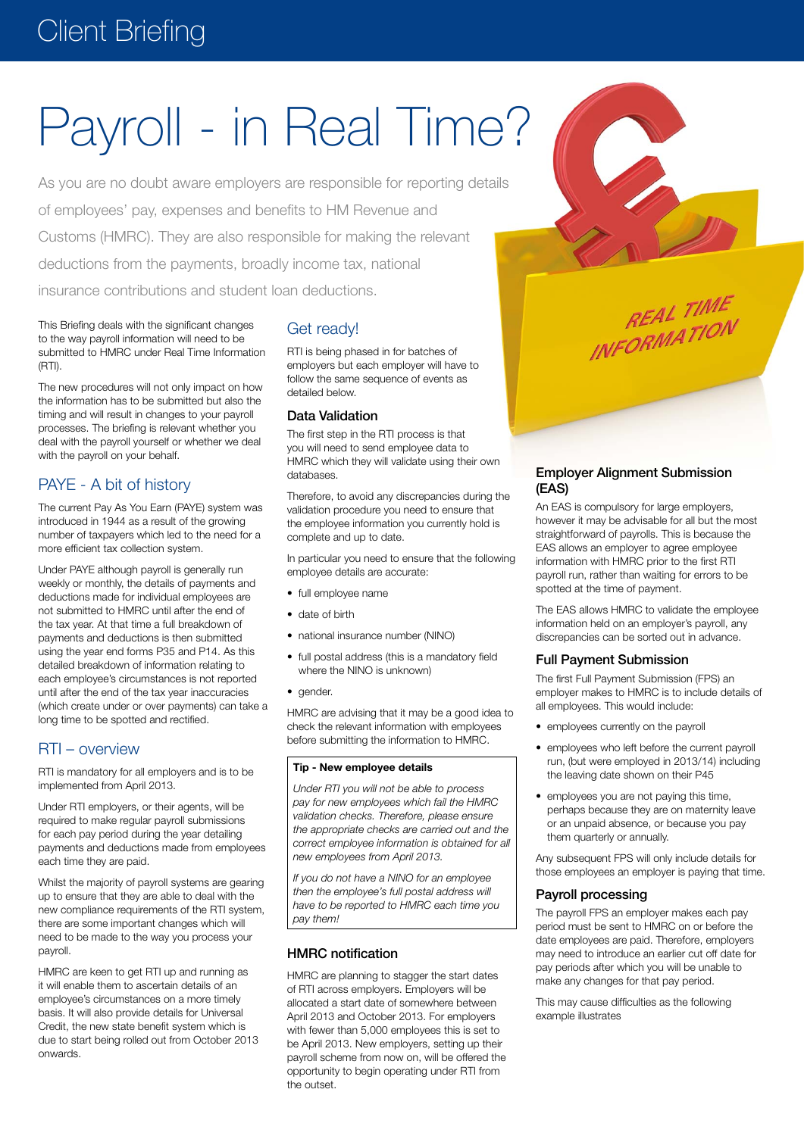# Client Briefing

# Payroll - in Real Time?

As you are no doubt aware employers are responsible for reporting details of employees' pay, expenses and benefits to HM Revenue and Customs (HMRC). They are also responsible for making the relevant deductions from the payments, broadly income tax, national insurance contributions and student loan deductions.

This Briefing deals with the significant changes to the way payroll information will need to be submitted to HMRC under Real Time Information (RTI).

The new procedures will not only impact on how the information has to be submitted but also the timing and will result in changes to your payroll processes. The briefing is relevant whether you deal with the payroll yourself or whether we deal with the payroll on your behalf.

# PAYE - A bit of history

The current Pay As You Earn (PAYE) system was introduced in 1944 as a result of the growing number of taxpayers which led to the need for a more efficient tax collection system.

Under PAYE although payroll is generally run weekly or monthly, the details of payments and deductions made for individual employees are not submitted to HMRC until after the end of the tax year. At that time a full breakdown of payments and deductions is then submitted using the year end forms P35 and P14. As this detailed breakdown of information relating to each employee's circumstances is not reported until after the end of the tax year inaccuracies (which create under or over payments) can take a long time to be spotted and rectified.

# RTI – overview

RTI is mandatory for all employers and is to be implemented from April 2013.

Under RTI employers, or their agents, will be required to make regular payroll submissions for each pay period during the year detailing payments and deductions made from employees each time they are paid.

Whilst the majority of payroll systems are gearing up to ensure that they are able to deal with the new compliance requirements of the RTI system, there are some important changes which will need to be made to the way you process your payroll.

HMRC are keen to get RTI up and running as it will enable them to ascertain details of an employee's circumstances on a more timely basis. It will also provide details for Universal Credit, the new state benefit system which is due to start being rolled out from October 2013 onwards.

# Get ready!

RTI is being phased in for batches of employers but each employer will have to follow the same sequence of events as detailed below.

#### Data Validation

The first step in the RTI process is that you will need to send employee data to HMRC which they will validate using their own databases.

Therefore, to avoid any discrepancies during the validation procedure you need to ensure that the employee information you currently hold is complete and up to date.

In particular you need to ensure that the following employee details are accurate:

- full employee name
- date of birth
- national insurance number (NINO)
- full postal address (this is a mandatory field where the NINO is unknown)
- gender.

HMRC are advising that it may be a good idea to check the relevant information with employees before submitting the information to HMRC.

#### **Tip - New employee details**

*Under RTI you will not be able to process pay for new employees which fail the HMRC validation checks. Therefore, please ensure the appropriate checks are carried out and the correct employee information is obtained for all new employees from April 2013.*

*If you do not have a NINO for an employee then the employee's full postal address will have to be reported to HMRC each time you pay them!*

# HMRC notification

HMRC are planning to stagger the start dates of RTI across employers. Employers will be allocated a start date of somewhere between April 2013 and October 2013. For employers with fewer than 5,000 employees this is set to be April 2013. New employers, setting up their payroll scheme from now on, will be offered the opportunity to begin operating under RTI from the outset.



**REAL TIME** 

REAL TIME

Employer Alignment Submission (EAS)

An EAS is compulsory for large employers, however it may be advisable for all but the most straightforward of payrolls. This is because the EAS allows an employer to agree employee information with HMRC prior to the first RTI payroll run, rather than waiting for errors to be spotted at the time of payment.

The EAS allows HMRC to validate the employee information held on an employer's payroll, any discrepancies can be sorted out in advance.

#### Full Payment Submission

The first Full Payment Submission (FPS) an employer makes to HMRC is to include details of all employees. This would include:

- employees currently on the payroll
- employees who left before the current payroll run, (but were employed in 2013/14) including the leaving date shown on their P45
- employees you are not paying this time, perhaps because they are on maternity leave or an unpaid absence, or because you pay them quarterly or annually.

Any subsequent FPS will only include details for those employees an employer is paying that time.

#### Payroll processing

The payroll FPS an employer makes each pay period must be sent to HMRC on or before the date employees are paid. Therefore, employers may need to introduce an earlier cut off date for pay periods after which you will be unable to make any changes for that pay period.

This may cause difficulties as the following example illustrates